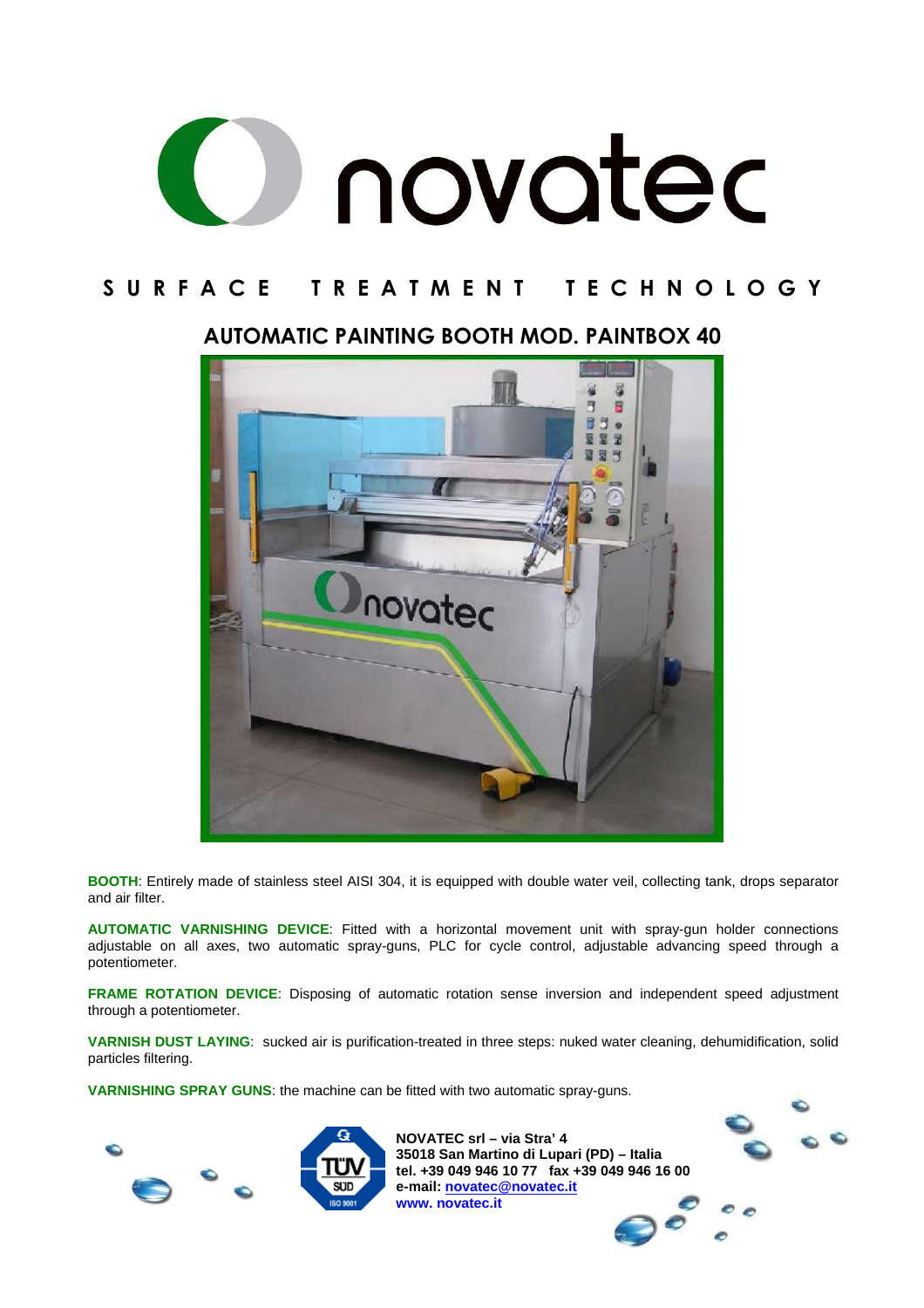

#### **AUTOMATIC PAINTING BOOTH MOD. PAINTBOX 40**



**BOOTH**: Entirely made of stainless steel AISI 304, it is equipped with double water veil, collecting tank, drops separator and air filter.

**AUTOMATIC VARNISHING DEVICE**: Fitted with a horizontal movement unit with spray-gun holder connections adjustable on all axes, two automatic spray-guns, PLC for cycle control, adjustable advancing speed through a potentiometer.

**FRAME ROTATION DEVICE**: Disposing of automatic rotation sense inversion and independent speed adjustment through a potentiometer.

**VARNISH DUST LAYING**: sucked air is purification-treated in three steps: nuked water cleaning, dehumidification, solid particles filtering.

**VARNISHING SPRAY GUNS**: the machine can be fitted with two automatic spray-guns.





**NOVATEC srl – via Stra' 4 35018 San Martino di Lupari (PD) – Italia tel. +39 049 946 10 77 fax +39 049 946 16 00 e-mail: novatec@novatec.it www. novatec.it** 

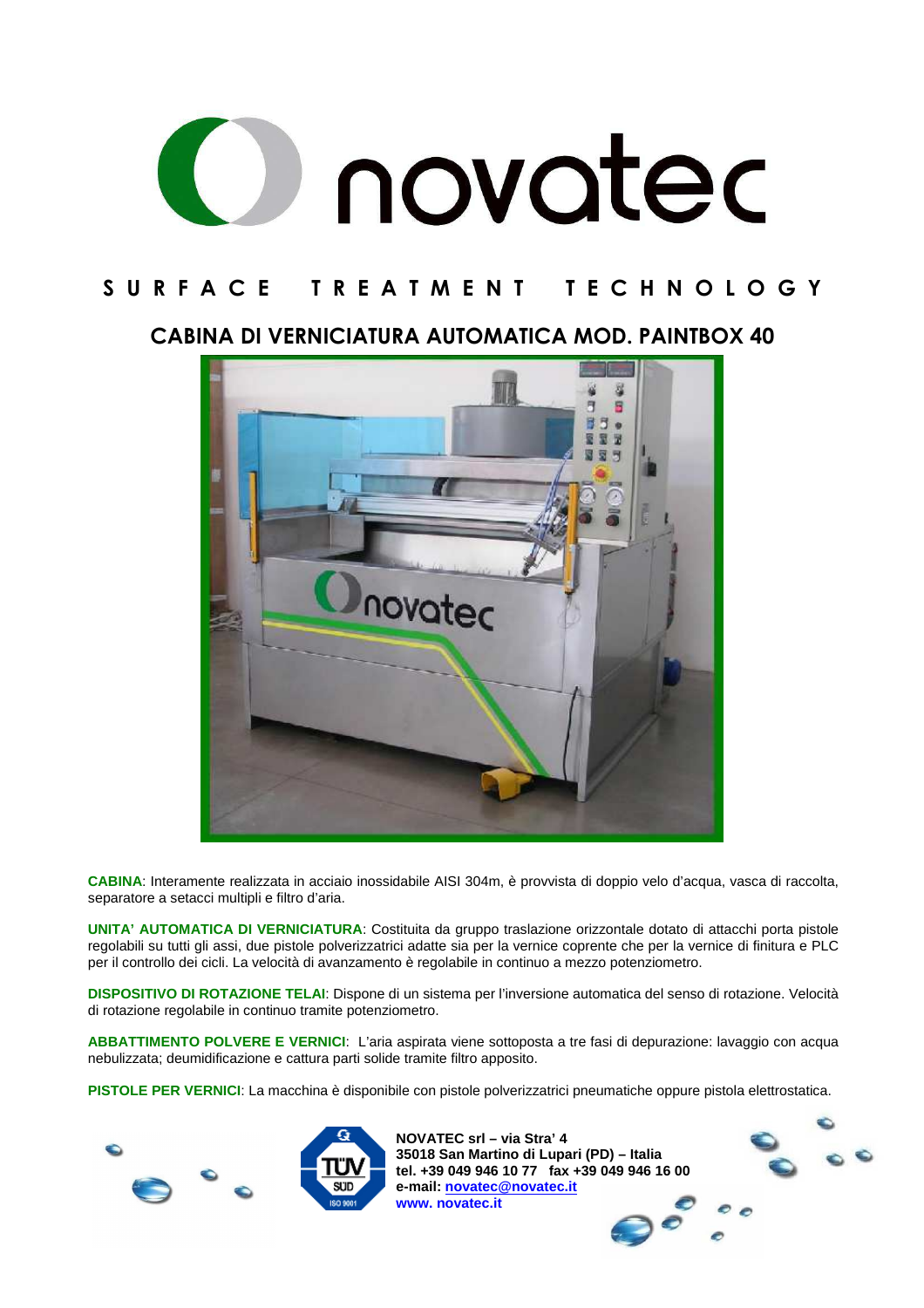

**CABINA DI VERNICIATURA AUTOMATICA MOD. PAINTBOX 40** 



**CABINA**: Interamente realizzata in acciaio inossidabile AISI 304m, è provvista di doppio velo d'acqua, vasca di raccolta, separatore a setacci multipli e filtro d'aria.

**UNITA' AUTOMATICA DI VERNICIATURA**: Costituita da gruppo traslazione orizzontale dotato di attacchi porta pistole regolabili su tutti gli assi, due pistole polverizzatrici adatte sia per la vernice coprente che per la vernice di finitura e PLC per il controllo dei cicli. La velocità di avanzamento è regolabile in continuo a mezzo potenziometro.

**DISPOSITIVO DI ROTAZIONE TELAI**: Dispone di un sistema per l'inversione automatica del senso di rotazione. Velocità di rotazione regolabile in continuo tramite potenziometro.

**ABBATTIMENTO POLVERE E VERNICI**: L'aria aspirata viene sottoposta a tre fasi di depurazione: lavaggio con acqua nebulizzata; deumidificazione e cattura parti solide tramite filtro apposito.

**PISTOLE PER VERNICI**: La macchina è disponibile con pistole polverizzatrici pneumatiche oppure pistola elettrostatica.





**NOVATEC srl – via Stra' 4 35018 San Martino di Lupari (PD) – Italia tel. +39 049 946 10 77 fax +39 049 946 16 00 e-mail: novatec@novatec.it www. novatec.it** 

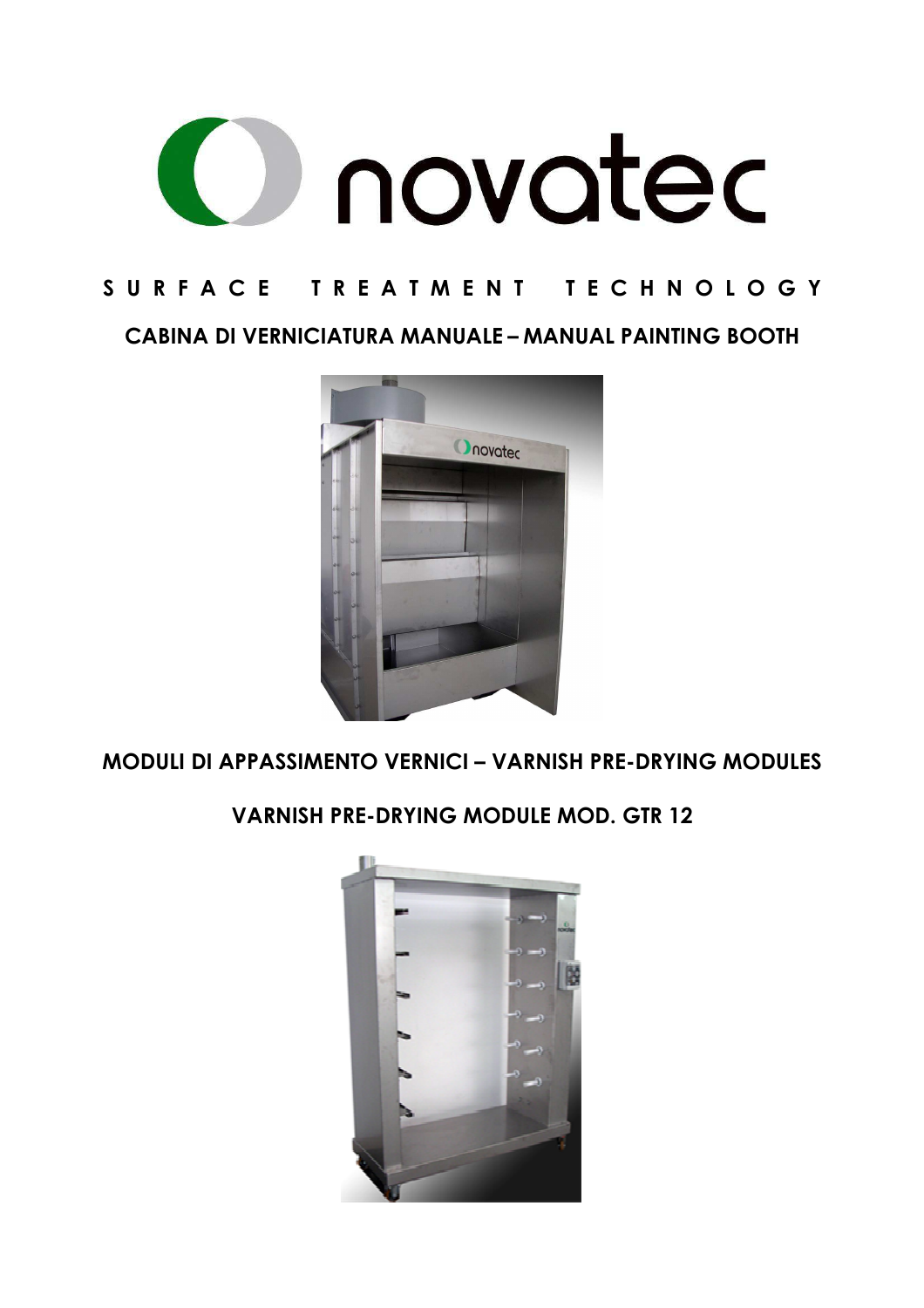

**CABINA DI VERNICIATURA MANUALE – MANUAL PAINTING BOOTH** 



**MODULI DI APPASSIMENTO VERNICI – VARNISH PRE-DRYING MODULES** 

**VARNISH PRE-DRYING MODULE MOD. GTR 12** 

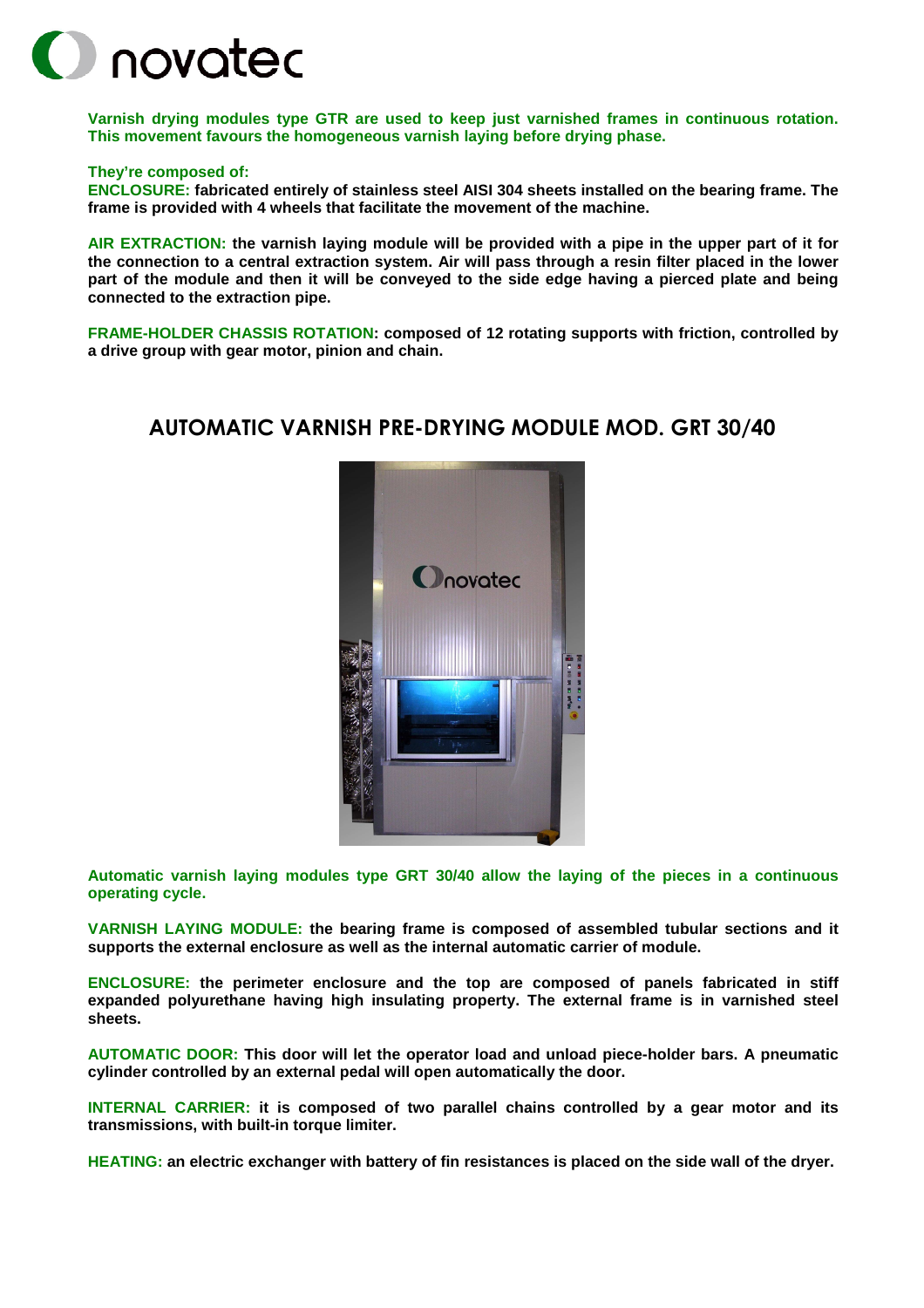

**Varnish drying modules type GTR are used to keep just varnished frames in continuous rotation. This movement favours the homogeneous varnish laying before drying phase.** 

#### **They're composed of:**

**ENCLOSURE: fabricated entirely of stainless steel AISI 304 sheets installed on the bearing frame. The frame is provided with 4 wheels that facilitate the movement of the machine.** 

**AIR EXTRACTION: the varnish laying module will be provided with a pipe in the upper part of it for the connection to a central extraction system. Air will pass through a resin filter placed in the lower part of the module and then it will be conveyed to the side edge having a pierced plate and being connected to the extraction pipe.** 

**FRAME-HOLDER CHASSIS ROTATION: composed of 12 rotating supports with friction, controlled by a drive group with gear motor, pinion and chain.** 

#### **AUTOMATIC VARNISH PRE-DRYING MODULE MOD. GRT 30/40**



**Automatic varnish laying modules type GRT 30/40 allow the laying of the pieces in a continuous operating cycle.** 

**VARNISH LAYING MODULE: the bearing frame is composed of assembled tubular sections and it supports the external enclosure as well as the internal automatic carrier of module.** 

**ENCLOSURE: the perimeter enclosure and the top are composed of panels fabricated in stiff expanded polyurethane having high insulating property. The external frame is in varnished steel sheets.** 

**AUTOMATIC DOOR: This door will let the operator load and unload piece-holder bars. A pneumatic cylinder controlled by an external pedal will open automatically the door.** 

**INTERNAL CARRIER: it is composed of two parallel chains controlled by a gear motor and its transmissions, with built-in torque limiter.** 

**HEATING: an electric exchanger with battery of fin resistances is placed on the side wall of the dryer.**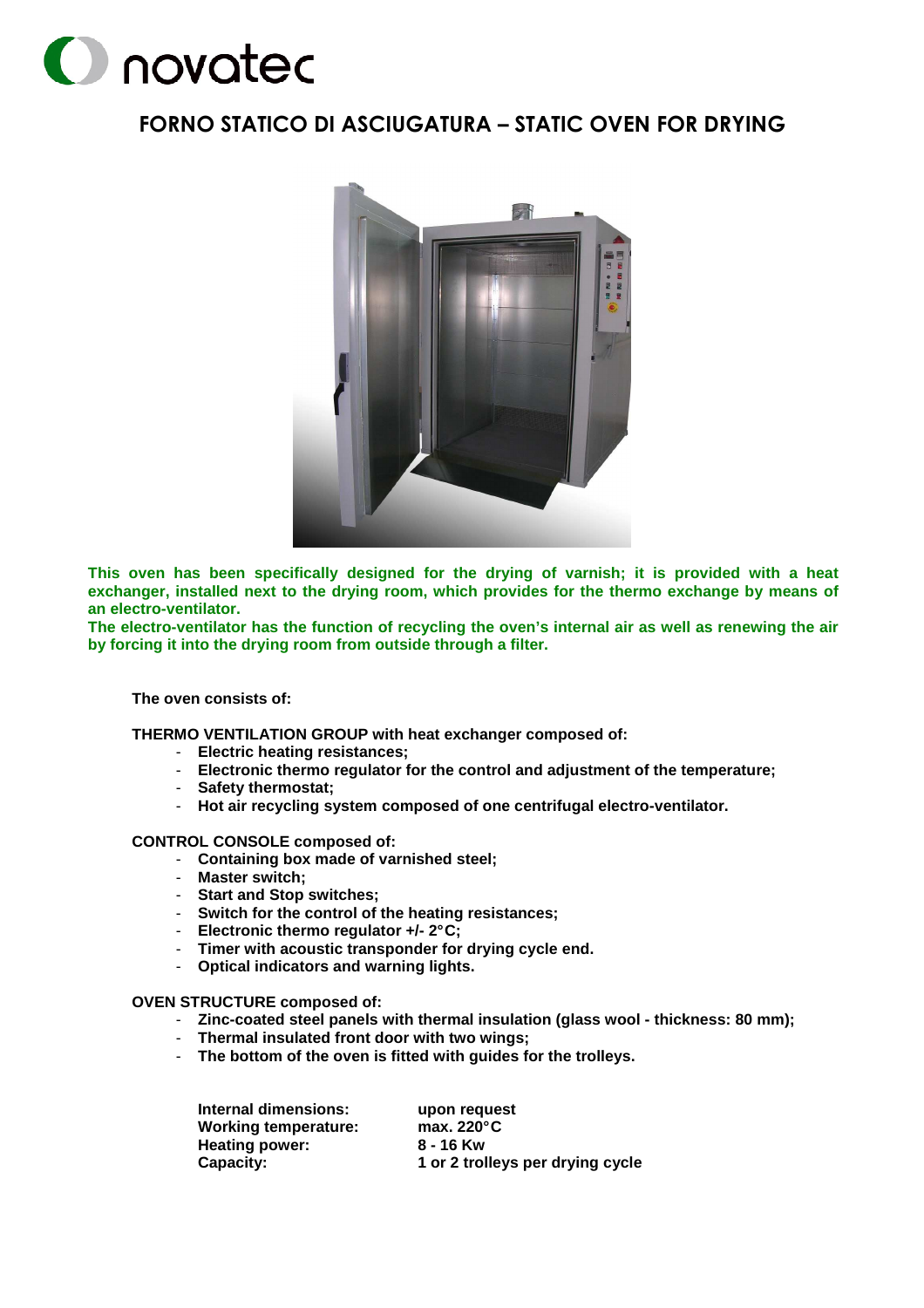# **O** novated

#### **FORNO STATICO DI ASCIUGATURA – STATIC OVEN FOR DRYING**



**This oven has been specifically designed for the drying of varnish; it is provided with a heat exchanger, installed next to the drying room, which provides for the thermo exchange by means of an electro-ventilator.** 

**The electro-ventilator has the function of recycling the oven's internal air as well as renewing the air by forcing it into the drying room from outside through a filter.** 

**The oven consists of:** 

**THERMO VENTILATION GROUP with heat exchanger composed of:** 

- **Electric heating resistances;**
- **Electronic thermo regulator for the control and adjustment of the temperature;**
- **Safety thermostat;**
- **Hot air recycling system composed of one centrifugal electro-ventilator.**

**CONTROL CONSOLE composed of:** 

- **Containing box made of varnished steel;**
- **Master switch;**
- **Start and Stop switches;**
- **Switch for the control of the heating resistances;**
- **Electronic thermo regulator +/- 2° C;**
- **Timer with acoustic transponder for drying cycle end.**
- **Optical indicators and warning lights.**

#### **OVEN STRUCTURE composed of:**

- **Zinc-coated steel panels with thermal insulation (glass wool thickness: 80 mm);**
- **Thermal insulated front door with two wings;**
- **The bottom of the oven is fitted with guides for the trolleys.**

| Internal dimensions: | upon request                     |
|----------------------|----------------------------------|
| Working temperature: | max. $220^{\circ}$ C             |
| Heating power:       | 8 - 16 Kw                        |
| Capacity:            | 1 or 2 trolleys per drying cycle |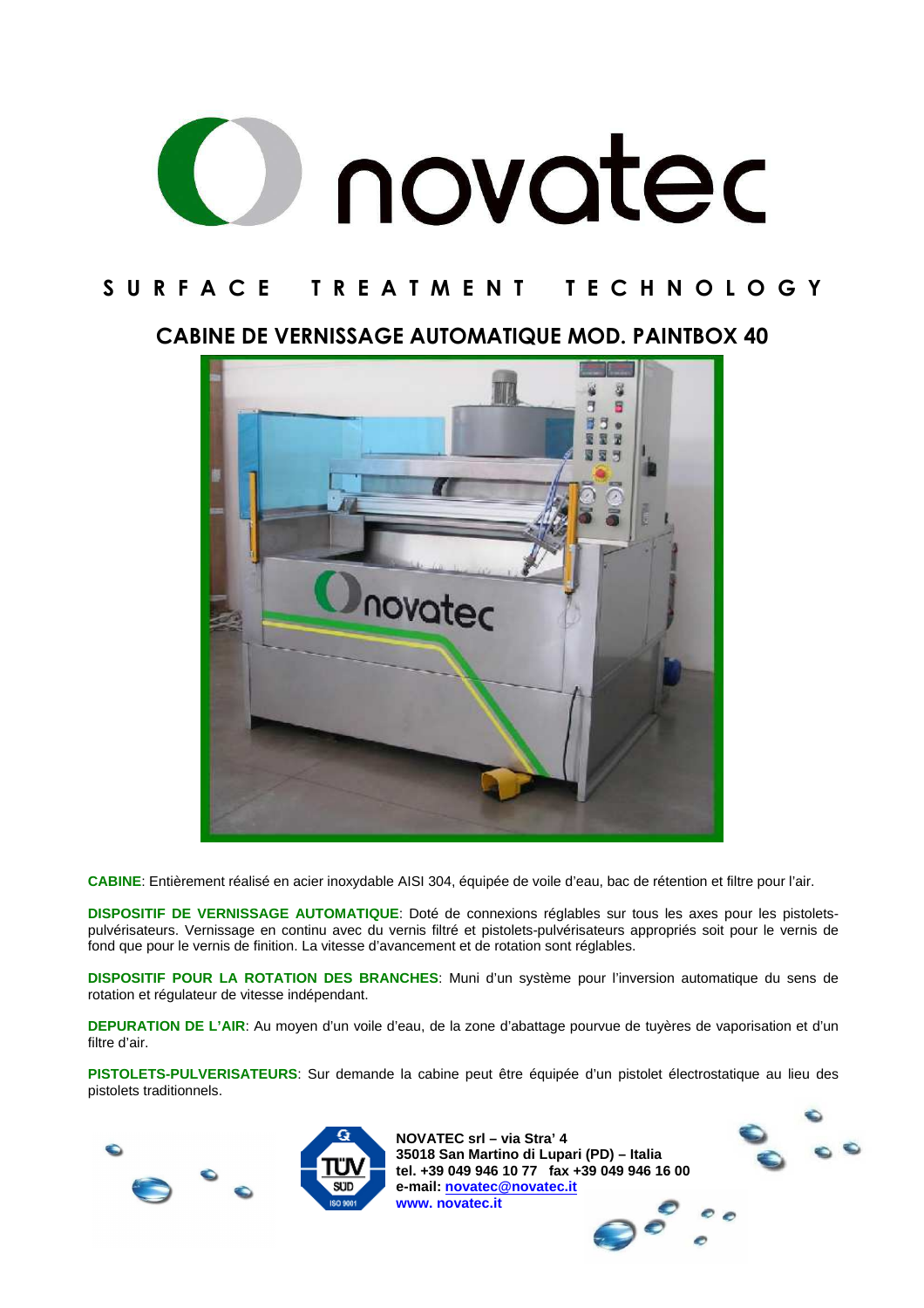

**CABINE DE VERNISSAGE AUTOMATIQUE MOD. PAINTBOX 40** 



**CABINE**: Entièrement réalisé en acier inoxydable AISI 304, équipée de voile d'eau, bac de rétention et filtre pour l'air.

**DISPOSITIF DE VERNISSAGE AUTOMATIQUE**: Doté de connexions réglables sur tous les axes pour les pistoletspulvérisateurs. Vernissage en continu avec du vernis filtré et pistolets-pulvérisateurs appropriés soit pour le vernis de fond que pour le vernis de finition. La vitesse d'avancement et de rotation sont réglables.

**DISPOSITIF POUR LA ROTATION DES BRANCHES**: Muni d'un système pour l'inversion automatique du sens de rotation et régulateur de vitesse indépendant.

**DEPURATION DE L'AIR**: Au moyen d'un voile d'eau, de la zone d'abattage pourvue de tuyères de vaporisation et d'un filtre d'air.

**PISTOLETS-PULVERISATEURS**: Sur demande la cabine peut être équipée d'un pistolet électrostatique au lieu des pistolets traditionnels.





**NOVATEC srl – via Stra' 4 35018 San Martino di Lupari (PD) – Italia tel. +39 049 946 10 77 fax +39 049 946 16 00 e-mail: novatec@novatec.it www. novatec.it**